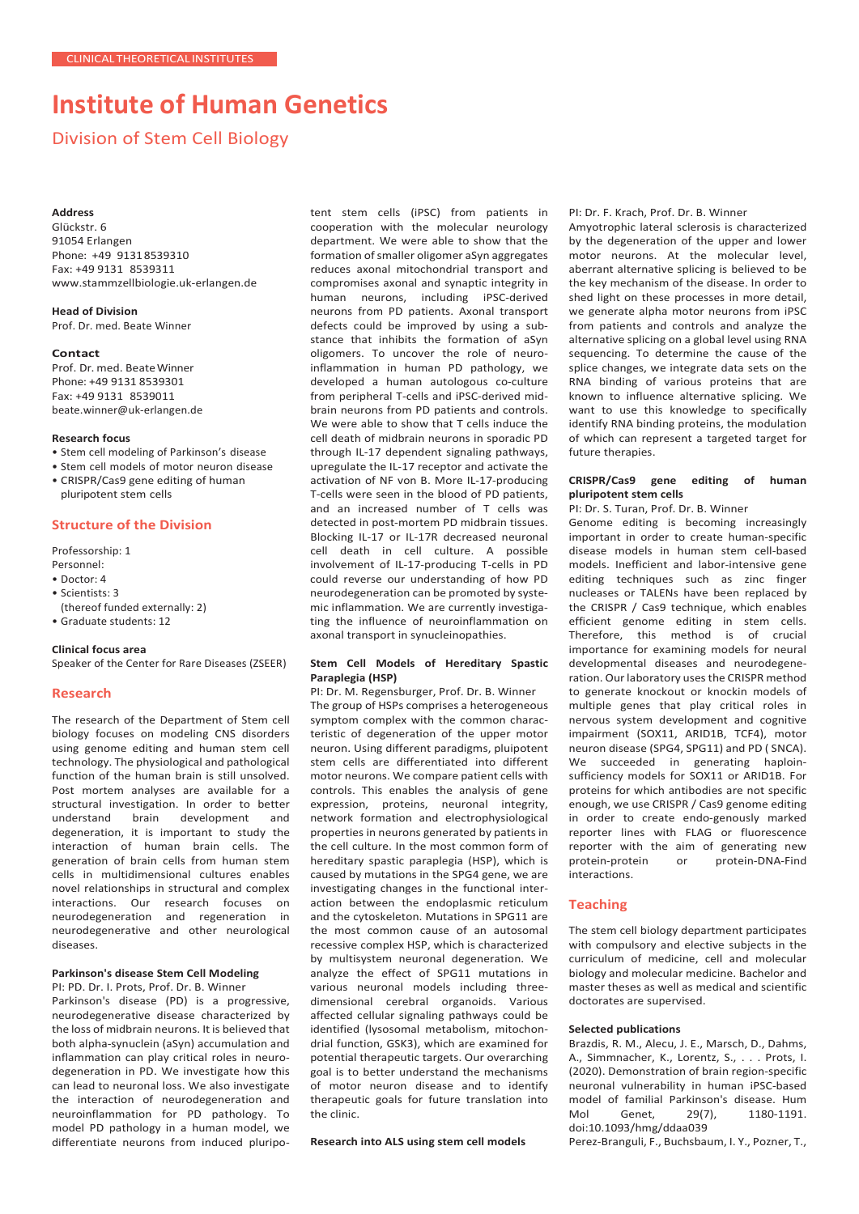# **Institute of Human Genetics**

Division of Stem Cell Biology

## **Address**

Glückstr. 6 91054 Erlangen Phone: +49 91318539310 Fax: +49 9131 8539311 [www.stammzellbiologie.uk-erlangen.de](http://www.stammzellbiologie.uk-erlangen.de/)

**Head of Division** Prof. Dr. med. Beate Winner

#### **Contact**

Prof. Dr. med. BeateWinner Phone: +49 9131 8539301 Fax: +49 9131 8539011 [beate.winner@uk-erlangen.de](mailto:beate.winner@uk-erlangen.de)

## **Research focus**

- Stem cell modeling of Parkinson's disease
- Stem cell models of motor neuron disease
- CRISPR/Cas9 gene editing of human pluripotent stem cells

## **Structure of the Division**

Professorship: 1

- Personnel:
- Doctor: 4 • Scientists: 3
- 
- (thereof funded externally: 2)
- Graduate students: 12

#### **Clinical focus area**

Speaker of the Center for Rare Diseases (ZSEER)

## **Research**

The research of the Department of Stem cell biology focuses on modeling CNS disorders using genome editing and human stem cell technology. The physiological and pathological function of the human brain is still unsolved. Post mortem analyses are available for a structural investigation. In order to better understand brain development and degeneration, it is important to study the interaction of human brain cells. The generation of brain cells from human stem cells in multidimensional cultures enables novel relationships in structural and complex interactions. Our research focuses on neurodegeneration and regeneration in neurodegenerative and other neurological diseases.

#### **Parkinson's disease Stem Cell Modeling** PI: PD. Dr. I. Prots, Prof. Dr. B. Winner

Parkinson's disease (PD) is a progressive, neurodegenerative disease characterized by the loss of midbrain neurons. It is believed that both alpha-synuclein (aSyn) accumulation and inflammation can play critical roles in neurodegeneration in PD. We investigate how this can lead to neuronal loss. We also investigate the interaction of neurodegeneration and neuroinflammation for PD pathology. To model PD pathology in a human model, we differentiate neurons from induced pluripotent stem cells (iPSC) from patients in cooperation with the molecular neurology department. We were able to show that the formation of smaller oligomer aSyn aggregates reduces axonal mitochondrial transport and compromises axonal and synaptic integrity in human neurons, including iPSC-derived neurons from PD patients. Axonal transport defects could be improved by using a substance that inhibits the formation of aSyn oligomers. To uncover the role of neuroinflammation in human PD pathology, we developed a human autologous co-culture from peripheral T-cells and iPSC-derived midbrain neurons from PD patients and controls. We were able to show that T cells induce the cell death of midbrain neurons in sporadic PD through IL-17 dependent signaling pathways, upregulate the IL-17 receptor and activate the activation of NF von B. More IL-17-producing T-cells were seen in the blood of PD patients, and an increased number of T cells was detected in post-mortem PD midbrain tissues. Blocking IL-17 or IL-17R decreased neuronal cell death in cell culture. A possible involvement of IL-17-producing T-cells in PD could reverse our understanding of how PD neurodegeneration can be promoted by systemic inflammation. We are currently investigating the influence of neuroinflammation on axonal transport in synucleinopathies.

## **Stem Cell Models of Hereditary Spastic Paraplegia (HSP)**

PI: Dr. M. Regensburger, Prof. Dr. B. Winner The group of HSPs comprises a heterogeneous symptom complex with the common characteristic of degeneration of the upper motor neuron. Using different paradigms, pluipotent stem cells are differentiated into different motor neurons. We compare patient cells with controls. This enables the analysis of gene expression, proteins, neuronal integrity, network formation and electrophysiological properties in neurons generated by patients in the cell culture. In the most common form of hereditary spastic paraplegia (HSP), which is caused by mutations in the SPG4 gene, we are investigating changes in the functional interaction between the endoplasmic reticulum and the cytoskeleton. Mutations in SPG11 are the most common cause of an autosomal recessive complex HSP, which is characterized by multisystem neuronal degeneration. We analyze the effect of SPG11 mutations in various neuronal models including threedimensional cerebral organoids. Various affected cellular signaling pathways could be identified (lysosomal metabolism, mitochondrial function, GSK3), which are examined for potential therapeutic targets. Our overarching goal is to better understand the mechanisms of motor neuron disease and to identify therapeutic goals for future translation into the clinic.

## **Research into ALS using stem cell models**

PI: Dr. F. Krach, Prof. Dr. B. Winner

Amyotrophic lateral sclerosis is characterized by the degeneration of the upper and lower motor neurons. At the molecular level, aberrant alternative splicing is believed to be the key mechanism of the disease. In order to shed light on these processes in more detail, we generate alpha motor neurons from iPSC from patients and controls and analyze the alternative splicing on a global level using RNA sequencing. To determine the cause of the splice changes, we integrate data sets on the RNA binding of various proteins that are known to influence alternative splicing. We want to use this knowledge to specifically identify RNA binding proteins, the modulation of which can represent a targeted target for future therapies.

## **CRISPR/Cas9 gene editing of human pluripotent stem cells**

PI: Dr. S. Turan, Prof. Dr. B. Winner

Genome editing is becoming increasingly important in order to create human-specific disease models in human stem cell-based models. Inefficient and labor-intensive gene editing techniques such as zinc finger nucleases or TALENs have been replaced by the CRISPR / Cas9 technique, which enables efficient genome editing in stem cells. Therefore, this method is of crucial importance for examining models for neural developmental diseases and neurodegeneration. Our laboratory uses the CRISPR method to generate knockout or knockin models of multiple genes that play critical roles in nervous system development and cognitive impairment (SOX11, ARID1B, TCF4), motor neuron disease (SPG4, SPG11) and PD ( SNCA). We succeeded in generating haploinsufficiency models for SOX11 or ARID1B. For proteins for which antibodies are not specific enough, we use CRISPR / Cas9 genome editing in order to create endo-genously marked reporter lines with FLAG or fluorescence reporter with the aim of generating new protein-protein or protein-DNA-Find interactions.

## **Teaching**

The stem cell biology department participates with compulsory and elective subjects in the curriculum of medicine, cell and molecular biology and molecular medicine. Bachelor and master theses as well as medical and scientific doctorates are supervised.

#### **Selected publications**

Brazdis, R. M., Alecu, J. E., Marsch, D., Dahms, A., Simmnacher, K., Lorentz, S., . . . Prots, I. (2020). Demonstration of brain region-specific neuronal vulnerability in human iPSC-based model of familial Parkinson's disease. Hum<br>Mol Genet, 29(7), 1180-1191. Mol Genet, 29(7), 1180-1191. doi:10.1093/hmg/ddaa039

Perez-Branguli, F., Buchsbaum, I. Y., Pozner, T.,